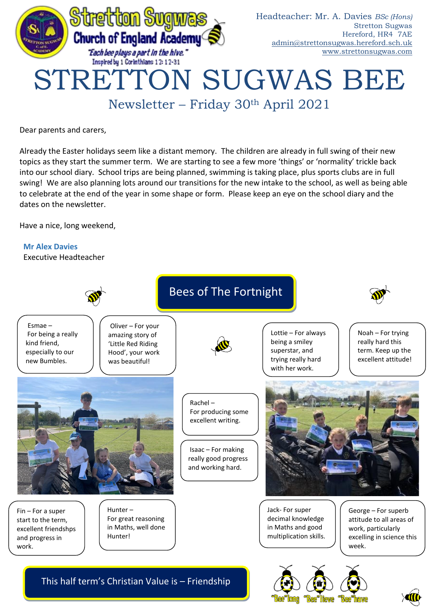

Newsletter – Friday 30th April 2021

Dear parents and carers,

Already the Easter holidays seem like a distant memory. The children are already in full swing of their new topics as they start the summer term. We are starting to see a few more 'things' or 'normality' trickle back into our school diary. School trips are being planned, swimming is taking place, plus sports clubs are in full swing! We are also planning lots around our transitions for the new intake to the school, as well as being able to celebrate at the end of the year in some shape or form. Please keep an eye on the school diary and the dates on the newsletter.

Have a nice, long weekend,

### **Mr Alex Davies**

Executive Headteacher



This half term's Christian Value is – Friendship